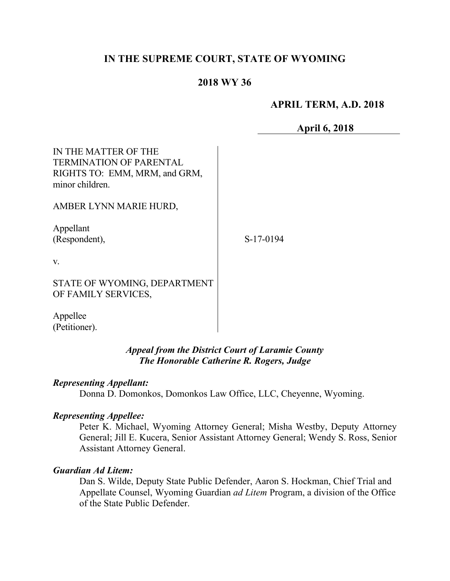# **IN THE SUPREME COURT, STATE OF WYOMING**

# **2018 WY 36**

# **APRIL TERM, A.D. 2018**

**April 6, 2018**

| IN THE MATTER OF THE<br><b>TERMINATION OF PARENTAL</b><br>RIGHTS TO: EMM, MRM, and GRM,<br>minor children. |           |
|------------------------------------------------------------------------------------------------------------|-----------|
| AMBER LYNN MARIE HURD,                                                                                     |           |
| Appellant<br>(Respondent),                                                                                 | S-17-0194 |
| V.                                                                                                         |           |
| STATE OF WYOMING, DEPARTMENT<br>OF FAMILY SERVICES,                                                        |           |

Appellee (Petitioner).

# *Appeal from the District Court of Laramie County The Honorable Catherine R. Rogers, Judge*

### *Representing Appellant:*

Donna D. Domonkos, Domonkos Law Office, LLC, Cheyenne, Wyoming.

# *Representing Appellee:*

Peter K. Michael, Wyoming Attorney General; Misha Westby, Deputy Attorney General; Jill E. Kucera, Senior Assistant Attorney General; Wendy S. Ross, Senior Assistant Attorney General.

### *Guardian Ad Litem:*

Dan S. Wilde, Deputy State Public Defender, Aaron S. Hockman, Chief Trial and Appellate Counsel, Wyoming Guardian *ad Litem* Program, a division of the Office of the State Public Defender.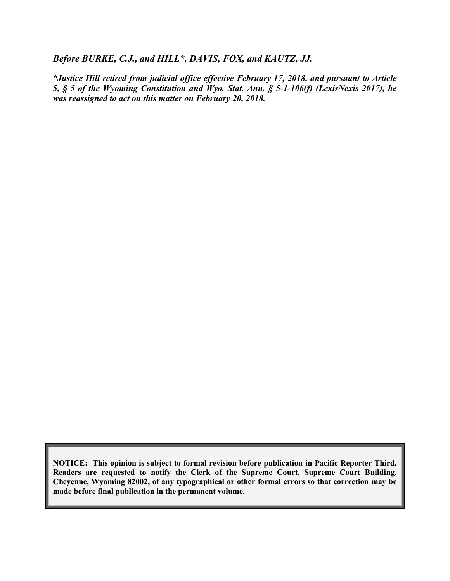#### *Before BURKE, C.J., and HILL\*, DAVIS, FOX, and KAUTZ, JJ.*

*\*Justice Hill retired from judicial office effective February 17, 2018, and pursuant to Article 5, § 5 of the Wyoming Constitution and Wyo. Stat. Ann. § 5-1-106(f) (LexisNexis 2017), he was reassigned to act on this matter on February 20, 2018.*

**NOTICE: This opinion is subject to formal revision before publication in Pacific Reporter Third. Readers are requested to notify the Clerk of the Supreme Court, Supreme Court Building, Cheyenne, Wyoming 82002, of any typographical or other formal errors so that correction may be made before final publication in the permanent volume.**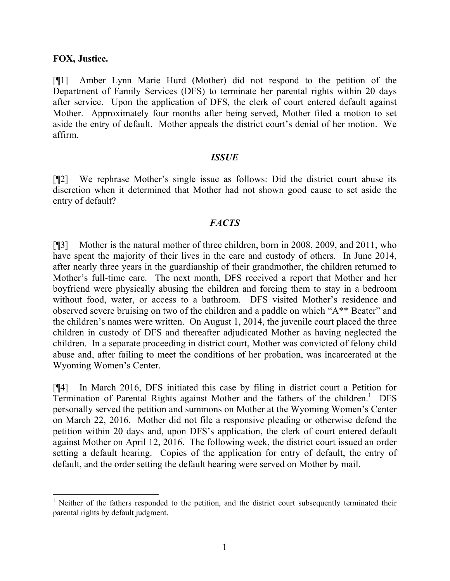### **FOX, Justice.**

[¶1] Amber Lynn Marie Hurd (Mother) did not respond to the petition of the Department of Family Services (DFS) to terminate her parental rights within 20 days after service. Upon the application of DFS, the clerk of court entered default against Mother. Approximately four months after being served, Mother filed a motion to set aside the entry of default. Mother appeals the district court's denial of her motion. We affirm.

### *ISSUE*

[¶2] We rephrase Mother's single issue as follows: Did the district court abuse its discretion when it determined that Mother had not shown good cause to set aside the entry of default?

# *FACTS*

[¶3] Mother is the natural mother of three children, born in 2008, 2009, and 2011, who have spent the majority of their lives in the care and custody of others. In June 2014, after nearly three years in the guardianship of their grandmother, the children returned to Mother's full-time care. The next month, DFS received a report that Mother and her boyfriend were physically abusing the children and forcing them to stay in a bedroom without food, water, or access to a bathroom. DFS visited Mother's residence and observed severe bruising on two of the children and a paddle on which "A\*\* Beater" and the children's names were written. On August 1, 2014, the juvenile court placed the three children in custody of DFS and thereafter adjudicated Mother as having neglected the children. In a separate proceeding in district court, Mother was convicted of felony child abuse and, after failing to meet the conditions of her probation, was incarcerated at the Wyoming Women's Center.

[¶4] In March 2016, DFS initiated this case by filing in district court a Petition for Termination of Parental Rights against Mother and the fathers of the children.<sup>1</sup> DFS personally served the petition and summons on Mother at the Wyoming Women's Center on March 22, 2016. Mother did not file a responsive pleading or otherwise defend the petition within 20 days and, upon DFS's application, the clerk of court entered default against Mother on April 12, 2016. The following week, the district court issued an order setting a default hearing. Copies of the application for entry of default, the entry of default, and the order setting the default hearing were served on Mother by mail.

  $1$  Neither of the fathers responded to the petition, and the district court subsequently terminated their parental rights by default judgment.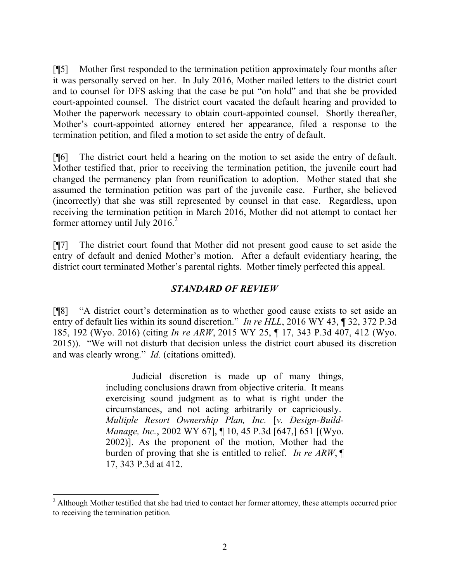[¶5] Mother first responded to the termination petition approximately four months after it was personally served on her. In July 2016, Mother mailed letters to the district court and to counsel for DFS asking that the case be put "on hold" and that she be provided court-appointed counsel. The district court vacated the default hearing and provided to Mother the paperwork necessary to obtain court-appointed counsel. Shortly thereafter, Mother's court-appointed attorney entered her appearance, filed a response to the termination petition, and filed a motion to set aside the entry of default.

[¶6] The district court held a hearing on the motion to set aside the entry of default. Mother testified that, prior to receiving the termination petition, the juvenile court had changed the permanency plan from reunification to adoption. Mother stated that she assumed the termination petition was part of the juvenile case. Further, she believed (incorrectly) that she was still represented by counsel in that case. Regardless, upon receiving the termination petition in March 2016, Mother did not attempt to contact her former attorney until July 2016. 2

[¶7] The district court found that Mother did not present good cause to set aside the entry of default and denied Mother's motion. After a default evidentiary hearing, the district court terminated Mother's parental rights. Mother timely perfected this appeal.

# *STANDARD OF REVIEW*

[¶8] "A district court's determination as to whether good cause exists to set aside an entry of default lies within its sound discretion." *In re HLL*, 2016 WY 43, ¶ 32, 372 P.3d 185, 192 (Wyo. 2016) (citing *In re ARW*, 2015 WY 25, ¶ 17, 343 P.3d 407, 412 (Wyo. 2015)). "We will not disturb that decision unless the district court abused its discretion and was clearly wrong." *Id.* (citations omitted).

> Judicial discretion is made up of many things, including conclusions drawn from objective criteria. It means exercising sound judgment as to what is right under the circumstances, and not acting arbitrarily or capriciously. *Multiple Resort Ownership Plan, Inc.* [*v. Design-Build-Manage, Inc.*, 2002 WY 67], ¶ 10, 45 P.3d [647,] 651 [(Wyo. 2002)]. As the proponent of the motion, Mother had the burden of proving that she is entitled to relief. *In re ARW*, ¶ 17, 343 P.3d at 412.

 <sup>2</sup> Although Mother testified that she had tried to contact her former attorney, these attempts occurred prior to receiving the termination petition.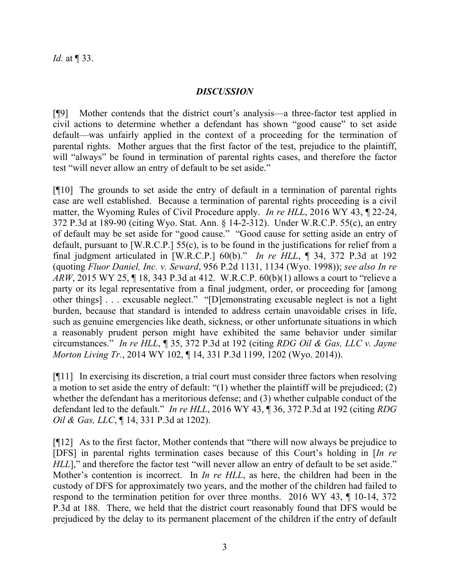# *DISCUSSION*

[¶9] Mother contends that the district court's analysis—a three-factor test applied in civil actions to determine whether a defendant has shown "good cause" to set aside default—was unfairly applied in the context of a proceeding for the termination of parental rights. Mother argues that the first factor of the test, prejudice to the plaintiff, will "always" be found in termination of parental rights cases, and therefore the factor test "will never allow an entry of default to be set aside."

[¶10] The grounds to set aside the entry of default in a termination of parental rights case are well established. Because a termination of parental rights proceeding is a civil matter, the Wyoming Rules of Civil Procedure apply. *In re HLL*, 2016 WY 43, ¶ 22-24, 372 P.3d at 189-90 (citing Wyo. Stat. Ann. § 14-2-312). Under W.R.C.P. 55(c), an entry of default may be set aside for "good cause." "Good cause for setting aside an entry of default, pursuant to [W.R.C.P.] 55(c), is to be found in the justifications for relief from a final judgment articulated in [W.R.C.P.] 60(b)." *In re HLL*, ¶ 34, 372 P.3d at 192 (quoting *Fluor Daniel, Inc. v. Seward*, 956 P.2d 1131, 1134 (Wyo. 1998)); *see also In re ARW*, 2015 WY 25, ¶ 18, 343 P.3d at 412. W.R.C.P. 60(b)(1) allows a court to "relieve a party or its legal representative from a final judgment, order, or proceeding for [among other things] . . . excusable neglect." "[D]emonstrating excusable neglect is not a light burden, because that standard is intended to address certain unavoidable crises in life, such as genuine emergencies like death, sickness, or other unfortunate situations in which a reasonably prudent person might have exhibited the same behavior under similar circumstances." *In re HLL*, ¶ 35, 372 P.3d at 192 (citing *RDG Oil & Gas, LLC v. Jayne Morton Living Tr.*, 2014 WY 102, ¶ 14, 331 P.3d 1199, 1202 (Wyo. 2014)).

[¶11] In exercising its discretion, a trial court must consider three factors when resolving a motion to set aside the entry of default: "(1) whether the plaintiff will be prejudiced; (2) whether the defendant has a meritorious defense; and (3) whether culpable conduct of the defendant led to the default." *In re HLL*, 2016 WY 43, ¶ 36, 372 P.3d at 192 (citing *RDG Oil & Gas, LLC*, ¶ 14, 331 P.3d at 1202).

[¶12] As to the first factor, Mother contends that "there will now always be prejudice to [DFS] in parental rights termination cases because of this Court's holding in [*In re HLL*]," and therefore the factor test "will never allow an entry of default to be set aside." Mother's contention is incorrect. In *In re HLL*, as here, the children had been in the custody of DFS for approximately two years, and the mother of the children had failed to respond to the termination petition for over three months. 2016 WY 43, ¶ 10-14, 372 P.3d at 188. There, we held that the district court reasonably found that DFS would be prejudiced by the delay to its permanent placement of the children if the entry of default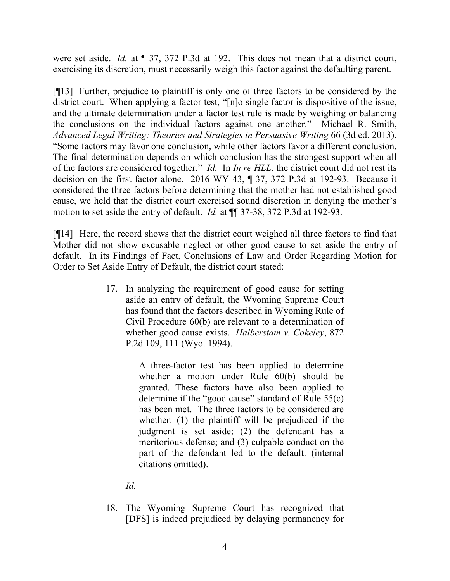were set aside. *Id.* at ¶ 37, 372 P.3d at 192. This does not mean that a district court, exercising its discretion, must necessarily weigh this factor against the defaulting parent.

[¶13] Further, prejudice to plaintiff is only one of three factors to be considered by the district court. When applying a factor test, "[n]o single factor is dispositive of the issue, and the ultimate determination under a factor test rule is made by weighing or balancing the conclusions on the individual factors against one another." Michael R. Smith, *Advanced Legal Writing: Theories and Strategies in Persuasive Writing* 66 (3d ed. 2013). "Some factors may favor one conclusion, while other factors favor a different conclusion. The final determination depends on which conclusion has the strongest support when all of the factors are considered together." *Id.* In *In re HLL*, the district court did not rest its decision on the first factor alone. 2016 WY 43, ¶ 37, 372 P.3d at 192-93. Because it considered the three factors before determining that the mother had not established good cause, we held that the district court exercised sound discretion in denying the mother's motion to set aside the entry of default. *Id.* at ¶¶ 37-38, 372 P.3d at 192-93.

[¶14] Here, the record shows that the district court weighed all three factors to find that Mother did not show excusable neglect or other good cause to set aside the entry of default. In its Findings of Fact, Conclusions of Law and Order Regarding Motion for Order to Set Aside Entry of Default, the district court stated:

> 17. In analyzing the requirement of good cause for setting aside an entry of default, the Wyoming Supreme Court has found that the factors described in Wyoming Rule of Civil Procedure 60(b) are relevant to a determination of whether good cause exists. *Halberstam v. Cokeley*, 872 P.2d 109, 111 (Wyo. 1994).

> > A three-factor test has been applied to determine whether a motion under Rule 60(b) should be granted. These factors have also been applied to determine if the "good cause" standard of Rule 55(c) has been met. The three factors to be considered are whether: (1) the plaintiff will be prejudiced if the judgment is set aside; (2) the defendant has a meritorious defense; and (3) culpable conduct on the part of the defendant led to the default. (internal citations omitted).

*Id.*

18. The Wyoming Supreme Court has recognized that [DFS] is indeed prejudiced by delaying permanency for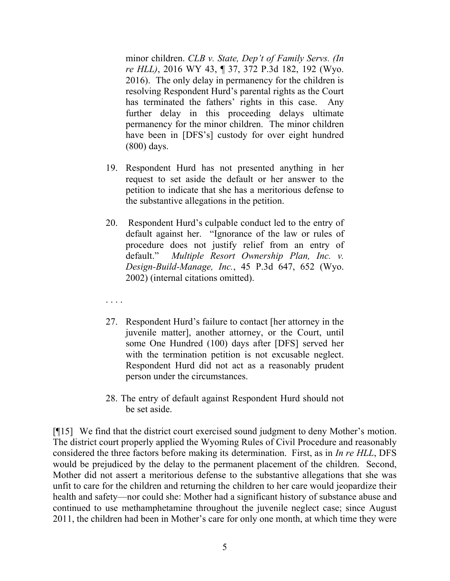minor children. *CLB v. State, Dep't of Family Servs. (In re HLL)*, 2016 WY 43, ¶ 37, 372 P.3d 182, 192 (Wyo. 2016). The only delay in permanency for the children is resolving Respondent Hurd's parental rights as the Court has terminated the fathers' rights in this case. Any further delay in this proceeding delays ultimate permanency for the minor children. The minor children have been in [DFS's] custody for over eight hundred (800) days.

- 19. Respondent Hurd has not presented anything in her request to set aside the default or her answer to the petition to indicate that she has a meritorious defense to the substantive allegations in the petition.
- 20. Respondent Hurd's culpable conduct led to the entry of default against her. "Ignorance of the law or rules of procedure does not justify relief from an entry of default." *Multiple Resort Ownership Plan, Inc. v. Design-Build-Manage, Inc.*, 45 P.3d 647, 652 (Wyo. 2002) (internal citations omitted).
- . . . .
- 27. Respondent Hurd's failure to contact [her attorney in the juvenile matter], another attorney, or the Court, until some One Hundred (100) days after [DFS] served her with the termination petition is not excusable neglect. Respondent Hurd did not act as a reasonably prudent person under the circumstances.
- 28. The entry of default against Respondent Hurd should not be set aside.

[¶15] We find that the district court exercised sound judgment to deny Mother's motion. The district court properly applied the Wyoming Rules of Civil Procedure and reasonably considered the three factors before making its determination. First, as in *In re HLL*, DFS would be prejudiced by the delay to the permanent placement of the children. Second, Mother did not assert a meritorious defense to the substantive allegations that she was unfit to care for the children and returning the children to her care would jeopardize their health and safety—nor could she: Mother had a significant history of substance abuse and continued to use methamphetamine throughout the juvenile neglect case; since August 2011, the children had been in Mother's care for only one month, at which time they were